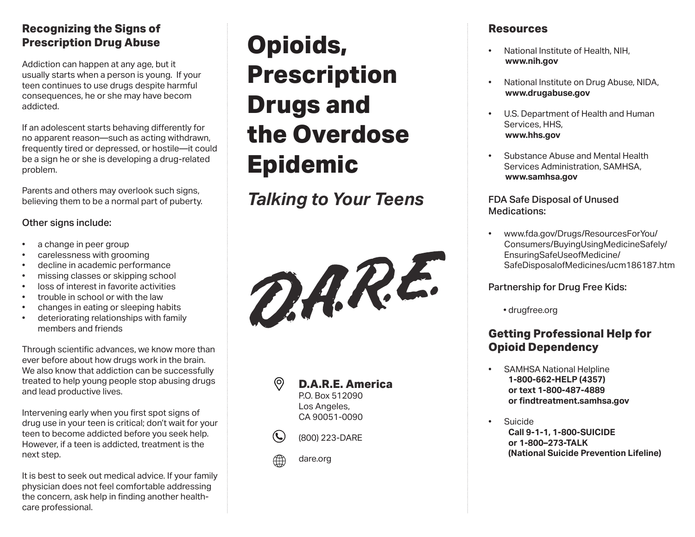## **Recognizing the Signs of Prescription Drug Abuse**

Addiction can happen at any age, but it usually starts when a person is young. If your teen continues to use drugs despite harmful consequences, he or she may have becom addicted.

If an adolescent starts behaving differently for no apparent reason—such as acting withdrawn, frequently tired or depressed, or hostile—it could be a sign he or she is developing a drug-related problem.

Parents and others may overlook such signs, believing them to be a normal part of puberty.

#### Other signs include:

- a change in peer group<br>• carelessness with groot
- carelessness with grooming
- decline in academic performance
- missing classes or skipping school • loss of interest in favorite activities
- 
- trouble in school or with the law
- changes in eating or sleeping habits
- deteriorating relationships with family members and friends

Through scientific advances, we know more than ever before about how drugs work in the brain. We also know that addiction can be successfully treated to help young people stop abusing drugs and lead productive lives.

Intervening early when you first spot signs of drug use in your teen is critical; don't wait for your teen to become addicted before you seek help. However, if a teen is addicted, treatment is the next step.

It is best to seek out medical advice. If your family physician does not feel comfortable addressing the concern, ask help in finding another healthcare professional.

# **Opioids, Prescription Drugs and the Overdose Epidemic**

*Talking to Your Teens*









- $\mathbf{C}$ (800) 223-DARE
- dare.org

## **Resources**

- National Institute of Health, NIH,  **www.nih.gov**
- National Institute on Drug Abuse, NIDA,  **www.drugabuse.gov**
- U.S. Department of Health and Human Services, HHS,  **www.hhs.gov**
- Substance Abuse and Mental Health Services Administration, SAMHSA,  **www.samhsa.gov**

#### FDA Safe Disposal of Unused Medications:

• www.fda.gov/Drugs/ResourcesForYou/ Consumers/BuyingUsingMedicineSafely/ EnsuringSafeUseofMedicine/ SafeDisposalofMedicines/ucm186187.htm

#### Partnership for Drug Free Kids:

• drugfree.org

# **Getting Professional Help for Opioid Dependency**

- SAMHSA National Helpline **1-800-662-HELP (4357) or text 1-800-487-4889 or findtreatment.samhsa.gov**
- Suicide **Call 9-1-1, 1-800-SUICIDE or 1-800–273-TALK (National Suicide Prevention Lifeline)**